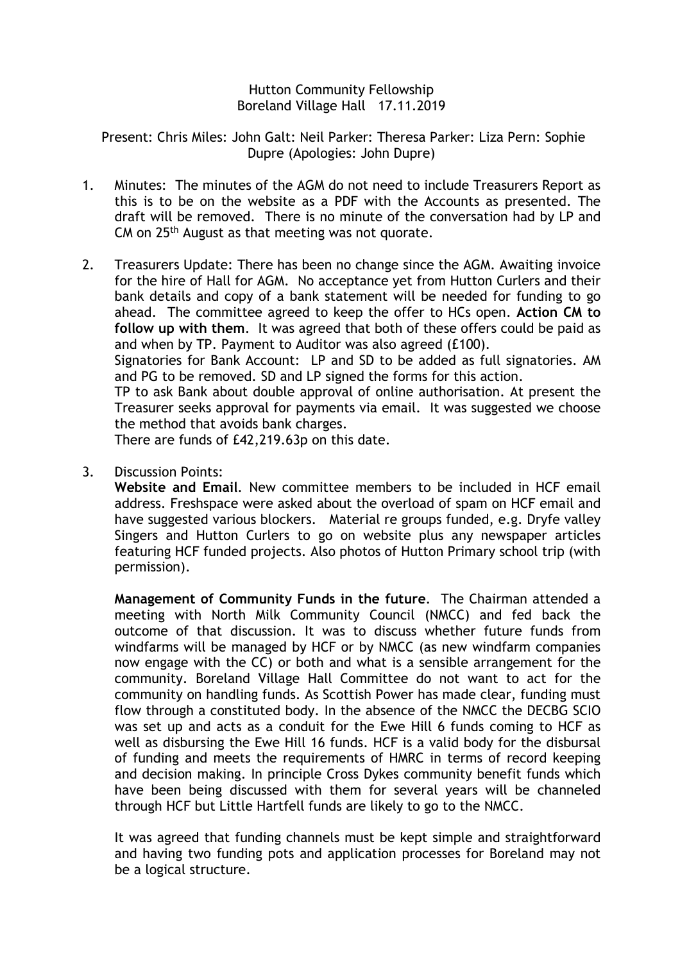## Hutton Community Fellowship Boreland Village Hall 17.11.2019

Present: Chris Miles: John Galt: Neil Parker: Theresa Parker: Liza Pern: Sophie Dupre (Apologies: John Dupre)

- 1. Minutes: The minutes of the AGM do not need to include Treasurers Report as this is to be on the website as a PDF with the Accounts as presented. The draft will be removed. There is no minute of the conversation had by LP and CM on 25th August as that meeting was not quorate.
- 2. Treasurers Update: There has been no change since the AGM. Awaiting invoice for the hire of Hall for AGM. No acceptance yet from Hutton Curlers and their bank details and copy of a bank statement will be needed for funding to go ahead. The committee agreed to keep the offer to HCs open. **Action CM to follow up with them**. It was agreed that both of these offers could be paid as and when by TP. Payment to Auditor was also agreed (£100).

Signatories for Bank Account: LP and SD to be added as full signatories. AM and PG to be removed. SD and LP signed the forms for this action.

TP to ask Bank about double approval of online authorisation. At present the Treasurer seeks approval for payments via email. It was suggested we choose the method that avoids bank charges.

There are funds of £42,219.63p on this date.

3. Discussion Points:

**Website and Email**. New committee members to be included in HCF email address. Freshspace were asked about the overload of spam on HCF email and have suggested various blockers. Material re groups funded, e.g. Dryfe valley Singers and Hutton Curlers to go on website plus any newspaper articles featuring HCF funded projects. Also photos of Hutton Primary school trip (with permission).

**Management of Community Funds in the future**. The Chairman attended a meeting with North Milk Community Council (NMCC) and fed back the outcome of that discussion. It was to discuss whether future funds from windfarms will be managed by HCF or by NMCC (as new windfarm companies now engage with the CC) or both and what is a sensible arrangement for the community. Boreland Village Hall Committee do not want to act for the community on handling funds. As Scottish Power has made clear, funding must flow through a constituted body. In the absence of the NMCC the DECBG SCIO was set up and acts as a conduit for the Ewe Hill 6 funds coming to HCF as well as disbursing the Ewe Hill 16 funds. HCF is a valid body for the disbursal of funding and meets the requirements of HMRC in terms of record keeping and decision making. In principle Cross Dykes community benefit funds which have been being discussed with them for several years will be channeled through HCF but Little Hartfell funds are likely to go to the NMCC.

It was agreed that funding channels must be kept simple and straightforward and having two funding pots and application processes for Boreland may not be a logical structure.